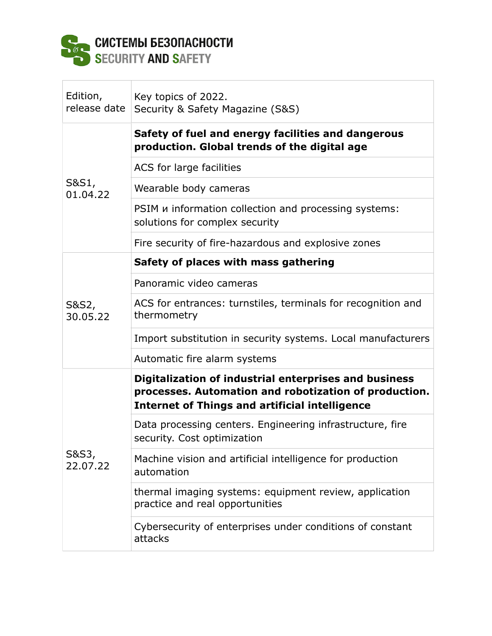

## Edition, release date Key topics of 2022. Security & Safety Magazine (S&S) S&S1, 01.04.22 **Safety of fuel and energy facilities and dangerous production. Global trends of the digital age** ACS for large facilities Wearable body cameras PSIM и information collection and processing systems: solutions for complex security Fire security of fire-hazardous and explosive zones S&S2, 30.05.22 **Safety of places with mass gathering** Panoramic video cameras ACS for entrances: turnstiles, terminals for recognition and thermometry Import substitution in security systems. Local manufacturers Automatic fire alarm systems S&S3, 22.07.22 **Digitalization of industrial enterprises and business processes. Automation and robotization of production. Internet of Things and artificial intelligence** Data processing centers. Engineering infrastructure, fire security. Cost optimization Machine vision and artificial intelligence for production automation thermal imaging systems: equipment review, application practice and real opportunities Cybersecurity of enterprises under conditions of constant attacks